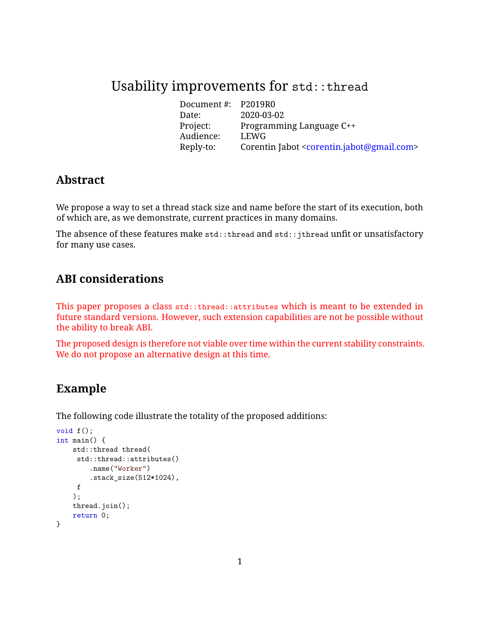# Usability improvements for std::thread

Document #: P2019R0 Date: 2020-03-02 Programming Language C++ Project: Progra<br>Audience: LEWG Reply-to: Corentin Jabot [<corentin.jabot@gmail.com>](mailto:corentin.jabot@gmail.com)

## **Abstract**

We propose a way to set a thread stack size and name before the start of its execution, both of which are, as we demonstrate, current practices in many domains.

The absence of these features make std::thread and std::jthread unfit or unsatisfactory for many use cases.

## **ABI considerations**

This paper proposes a class std::thread::attributes which is meant to be extended in future standard versions. However, such extension capabilities are not be possible without the ability to break ABI.

The proposed design is therefore not viable over time within the current stability constraints. We do not propose an alternative design at this time.

## **Example**

The following code illustrate the totality of the proposed additions:

```
void f();
int main() {
    std::thread thread(
     std::thread::attributes()
        .name("Worker")
        .stack_size(512*1024),
    f
    );
    thread.join();
    return 0;
}
```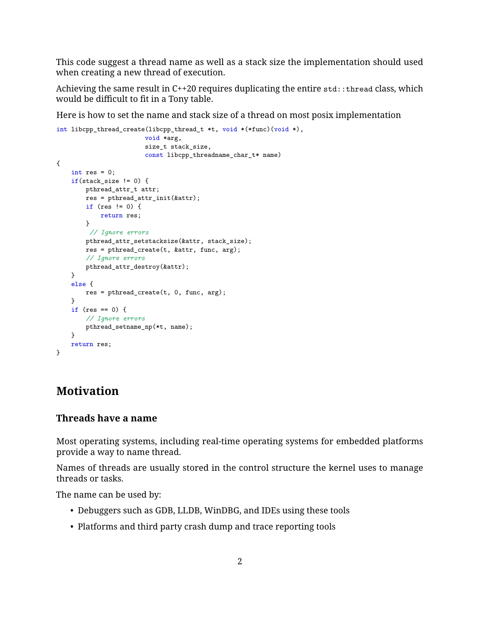This code suggest a thread name as well as a stack size the implementation should used when creating a new thread of execution.

Achieving the same result in  $C^{++20}$  requires duplicating the entire  $std::thread$  class, which would be difficult to fit in a Tony table.

Here is how to set the name and stack size of a thread on most posix implementation

```
int libcpp_thread_create(libcpp_thread_t *t, void *(*func)(void *),
                       void *arg,
                       size_t stack_size,
                       const libcpp_threadname_char_t* name)
{
   int res = 0;
   if(stat_size != 0) {
       pthread_attr_t attr;
       res = pthread_attr_init(&attr);
       if (res != 0) {
           return res;
       }
        // Ignore errors
       pthread_attr_setstacksize(&attr, stack_size);
       res = pthread_create(t, &attr, func, arg);
       // Ignore errors
       pthread_attr_destroy(&attr);
    }
    else {
       res = pthread_create(t, 0, func, arg);
    }
    if (res == 0) {
       // Ignore errors
       pthread_setname_np(*t, name);
    }
   return res;
}
```
## **Motivation**

#### **Threads have a name**

Most operating systems, including real-time operating systems for embedded platforms provide a way to name thread.

Names of threads are usually stored in the control structure the kernel uses to manage threads or tasks.

The name can be used by:

- Debuggers such as GDB, LLDB, WinDBG, and IDEs using these tools
- Platforms and third party crash dump and trace reporting tools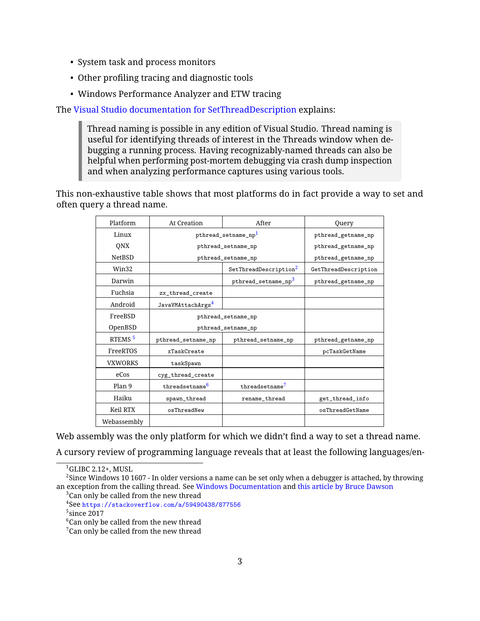- System task and process monitors
- Other profiling tracing and diagnostic tools
- Windows Performance Analyzer and ETW tracing

The [Visual Studio documentation for SetThreadDescription](https://docs.microsoft.com/en-us/visualstudio/debugger/how-to-set-a-thread-name-in-native-code?view=vs-2019) explains:

Thread naming is possible in any edition of Visual Studio. Thread naming is useful for identifying threads of interest in the Threads window when debugging a running process. Having recognizably-named threads can also be helpful when performing post-mortem debugging via crash dump inspection and when analyzing performance captures using various tools.

This non-exhaustive table shows that most platforms do in fact provide a way to set and often query a thread name.

| Platform           | At Creation                     | After                             | Query                |
|--------------------|---------------------------------|-----------------------------------|----------------------|
| Linux              | pthread_setname_np <sup>1</sup> |                                   | pthread_getname_np   |
| QNX                | pthread_setname_np              |                                   | pthread_getname_np   |
| <b>NetBSD</b>      | pthread_setname_np              |                                   | pthread_getname_np   |
| Win32              |                                 | SetThreadDescription <sup>2</sup> | GetThreadDescription |
| Darwin             |                                 | pthread_setname_np <sup>3</sup>   | pthread_getname_np   |
| Fuchsia            | zx thread create                |                                   |                      |
| Android            | JavaVMAttachArgs <sup>4</sup>   |                                   |                      |
| FreeBSD            | pthread_setname_np              |                                   |                      |
| OpenBSD            | pthread_setname_np              |                                   |                      |
| RTEMS <sup>5</sup> | pthread_setname_np              | pthread_setname_np                | pthread_getname_np   |
| FreeRTOS           | xTaskCreate                     |                                   | pcTaskGetName        |
| <b>VXWORKS</b>     | taskSpawn                       |                                   |                      |
| eCos               | cyg_thread_create               |                                   |                      |
| Plan 9             | threadsetname <sup>6</sup>      | threadsetname <sup>7</sup>        |                      |
| Haiku              | spawn_thread                    | rename thread                     | get_thread_info      |
| Keil RTX           | osThreadNew                     |                                   | osThreadGetName      |
| Webassembly        |                                 |                                   |                      |

Web assembly was the only platform for which we didn't find a way to set a thread name.

A cursory review of programming language reveals that at least the following languages/en-

<span id="page-2-0"></span><sup>1</sup>GLIBC 2.12+, MUSL

 $^2$ Since Windows 10 1607 - In older versions a name can be set only when a debugger is attached, by throwing an exception from the calling thread. See [Windows Documentation](https://stackoverflow.com/a/59490438/877556) and [this article by Bruce Dawson](https://randomascii.wordpress.com/2015/10/26/thread-naming-in-windows-time-for-something-better/)  $3$ Can only be called from the new thread

<sup>4</sup> See <https://stackoverflow.com/a/59490438/877556>

<sup>5</sup> since 2017

<sup>&</sup>lt;sup>6</sup>Can only be called from the new thread

 $7$ Can only be called from the new thread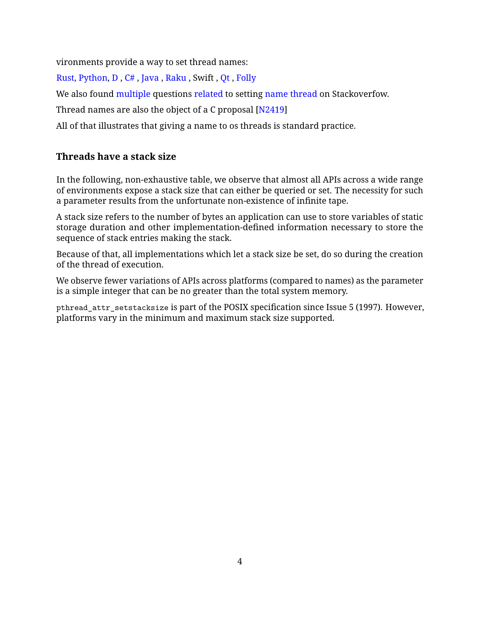vironments provide a way to set thread names:

[Rust,](https://doc.rust-lang.org/std/thread/struct.Builder.html) [Python,](https://docs.python.org/3/library/threading.html#thread-objects) [D](https://dlang.org/phobos/core_thread_osthread.html#.Thread.name) , [C#](https://docs.microsoft.com/en-us/dotnet/api/system.threading.thread.name?view=netframework-4.8) , [Java](https://docs.oracle.com/javase/7/docs/api/java/lang/Thread.html) , [Raku](https://docs.raku.org/type/Thread#method_name) , Swift , [Qt](https://doc.qt.io/qt-5/qthread.html#managing-threads) , [Folly](https://github.com/facebook/folly/blob/master/folly/system/ThreadName.h)

We also found [multiple](https://stackoverflow.com/questions/10121560/stdthread-naming-your-thread) questions [related](https://stackoverflow.com/questions/57477053/how-to-set-custom-name-of-this-thread) to setting [name thread](https://stackoverflow.com/questions/16486937/name-a-thread-created-by-beginthread-in-c) on Stackoverfow.

Thread names are also the object of a C proposal [\[N2419\]](#page-14-1)

All of that illustrates that giving a name to os threads is standard practice.

### **Threads have a stack size**

In the following, non-exhaustive table, we observe that almost all APIs across a wide range of environments expose a stack size that can either be queried or set. The necessity for such a parameter results from the unfortunate non-existence of infinite tape.

A stack size refers to the number of bytes an application can use to store variables of static storage duration and other implementation-defined information necessary to store the sequence of stack entries making the stack.

Because of that, all implementations which let a stack size be set, do so during the creation of the thread of execution.

We observe fewer variations of APIs across platforms (compared to names) as the parameter is a simple integer that can be no greater than the total system memory.

pthread\_attr\_setstacksize is part of the POSIX specification since Issue 5 (1997). However, platforms vary in the minimum and maximum stack size supported.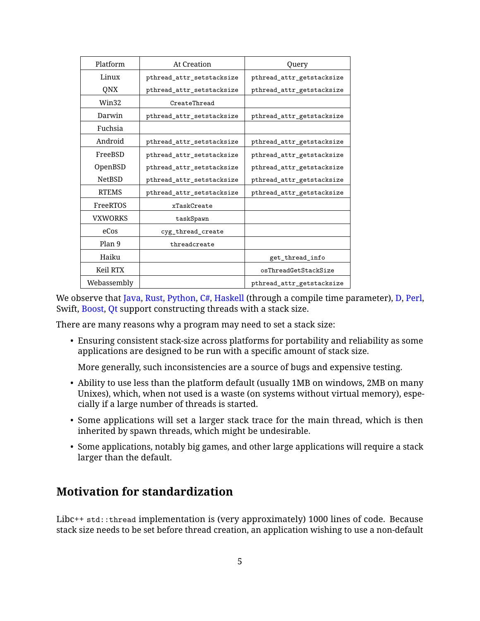| Platform       | At Creation               | Query                     |
|----------------|---------------------------|---------------------------|
| Linux          | pthread_attr_setstacksize | pthread_attr_getstacksize |
| QNX            | pthread_attr_setstacksize | pthread_attr_getstacksize |
| Win32          | CreateThread              |                           |
| Darwin         | pthread_attr_setstacksize | pthread_attr_getstacksize |
| Fuchsia        |                           |                           |
| Android        | pthread_attr_setstacksize | pthread_attr_getstacksize |
| FreeBSD        | pthread_attr_setstacksize | pthread_attr_getstacksize |
| OpenBSD        | pthread_attr_setstacksize | pthread_attr_getstacksize |
| <b>NetBSD</b>  | pthread_attr_setstacksize | pthread_attr_getstacksize |
| <b>RTEMS</b>   | pthread_attr_setstacksize | pthread_attr_getstacksize |
| FreeRTOS       | xTaskCreate               |                           |
| <b>VXWORKS</b> | taskSpawn                 |                           |
| eCos           | cyg_thread_create         |                           |
| Plan 9         | threadcreate              |                           |
| Haiku          |                           | get_thread_info           |
| Keil RTX       |                           | osThreadGetStackSize      |
| Webassembly    |                           | pthread_attr_getstacksize |

We observe that [Java,](https://docs.oracle.com/javase/7/docs/api/java/lang/Thread.html#Thread()) [Rust,](https://doc.rust-lang.org/std/thread/struct.Builder.html) [Python,](https://docs.python.org/3/library/threading.html) [C#,](https://docs.microsoft.com/en-us/dotnet/api/system.threading.thread.-ctor?view=netframework-4.8#System_Threading_Thread__ctor_System_Threading_ParameterizedThreadStart_System_Int32_) [Haskell](https://downloads.haskell.org/~ghc/latest/docs/html/users_guide/runtime_control.html) (through a compile time parameter), [D,](https://dlang.org/phobos/core_thread_osthread.htm) [Perl,](https://perldoc.perl.org/threads.html#THREAD-STACK-SIZE) Swift, [Boost,](https://www.boost.org/doc/libs/1_72_0/doc/html/thread/thread_management.html#thread.thread_management.tutorial.attributes) [Qt](https://doc.qt.io/qt-5/qthread.html#setStackSize) support constructing threads with a stack size.

There are many reasons why a program may need to set a stack size:

• Ensuring consistent stack-size across platforms for portability and reliability as some applications are designed to be run with a specific amount of stack size.

More generally, such inconsistencies are a source of bugs and expensive testing.

- Ability to use less than the platform default (usually 1MB on windows, 2MB on many Unixes), which, when not used is a waste (on systems without virtual memory), especially if a large number of threads is started.
- Some applications will set a larger stack trace for the main thread, which is then inherited by spawn threads, which might be undesirable.
- Some applications, notably big games, and other large applications will require a stack larger than the default.

## **Motivation for standardization**

Libc++ std::thread implementation is (very approximately) 1000 lines of code. Because stack size needs to be set before thread creation, an application wishing to use a non-default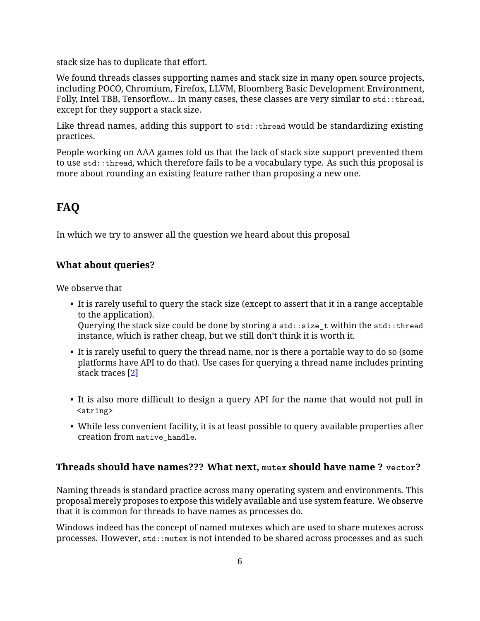stack size has to duplicate that effort.

We found threads classes supporting names and stack size in many open source projects, including POCO, Chromium, Firefox, LLVM, Bloomberg Basic Development Environment, Folly, Intel TBB, Tensorflow... In many cases, these classes are very similar to std::thread, except for they support a stack size.

Like thread names, adding this support to std::thread would be standardizing existing practices.

People working on AAA games told us that the lack of stack size support prevented them to use std::thread, which therefore fails to be a vocabulary type. As such this proposal is more about rounding an existing feature rather than proposing a new one.

# **FAQ**

In which we try to answer all the question we heard about this proposal

## **What about queries?**

We observe that

- It is rarely useful to query the stack size (except to assert that it in a range acceptable to the application). Querying the stack size could be done by storing a std::size\_t within the std::thread instance, which is rather cheap, but we still don't think it is worth it.
- It is rarely useful to query the thread name, nor is there a portable way to do so (some platforms have API to do that). Use cases for querying a thread name includes printing stack traces [\[2\]](#page-14-2)
- It is also more difficult to design a query API for the name that would not pull in <string>
- While less convenient facility, it is at least possible to query available properties after creation from native handle.

### **Threads should have names??? What next, mutex should have name ? vector?**

Naming threads is standard practice across many operating system and environments. This proposal merely proposes to expose this widely available and use system feature. We observe that it is common for threads to have names as processes do.

Windows indeed has the concept of named mutexes which are used to share mutexes across processes. However, std:: mutex is not intended to be shared across processes and as such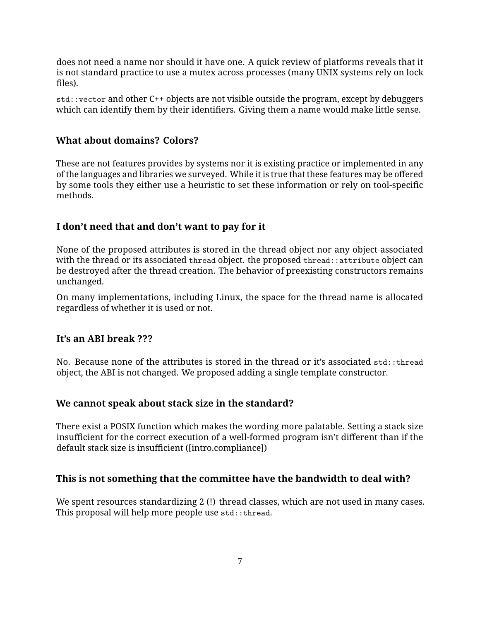does not need a name nor should it have one. A quick review of platforms reveals that it is not standard practice to use a mutex across processes (many UNIX systems rely on lock files).

std::vector and other C++ objects are not visible outside the program, except by debuggers which can identify them by their identifiers. Giving them a name would make little sense.

#### **What about domains? Colors?**

These are not features provides by systems nor it is existing practice or implemented in any of the languages and libraries we surveyed. While it is true that these features may be offered by some tools they either use a heuristic to set these information or rely on tool-specific methods.

### **I don't need that and don't want to pay for it**

None of the proposed attributes is stored in the thread object nor any object associated with the thread or its associated thread object. the proposed thread::attribute object can be destroyed after the thread creation. The behavior of preexisting constructors remains unchanged.

On many implementations, including Linux, the space for the thread name is allocated regardless of whether it is used or not.

#### **It's an ABI break ???**

No. Because none of the attributes is stored in the thread or it's associated std::thread object, the ABI is not changed. We proposed adding a single template constructor.

#### **We cannot speak about stack size in the standard?**

There exist a POSIX function which makes the wording more palatable. Setting a stack size insufficient for the correct execution of a well-formed program isn't different than if the default stack size is insufficient ([intro.compliance])

### **This is not something that the committee have the bandwidth to deal with?**

We spent resources standardizing 2 (!) thread classes, which are not used in many cases. This proposal will help more people use std:: thread.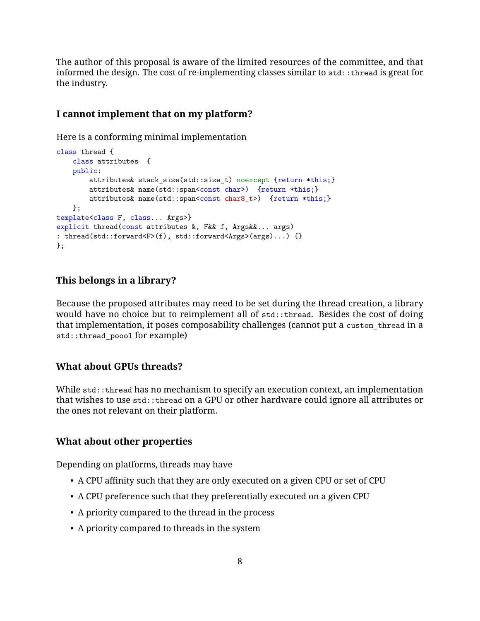The author of this proposal is aware of the limited resources of the committee, and that informed the design. The cost of re-implementing classes similar to std::thread is great for the industry.

#### **I cannot implement that on my platform?**

Here is a conforming minimal implementation

```
class thread {
   class attributes {
   public:
       attributes& stack size(std::size t) noexcept {return *this;}
       attributes& name(std::span<const char>) {return *this;}
       attributes& name(std::span<const char8_t>) {return *this;}
   };
template<class F, class... Args>}
explicit thread(const attributes &, F&& f, Args&&... args)
: thread(std::forward<F>(f), std::forward<Args>(args)...) {}
};
```
#### **This belongs in a library?**

Because the proposed attributes may need to be set during the thread creation, a library would have no choice but to reimplement all of std::thread. Besides the cost of doing that implementation, it poses composability challenges (cannot put a custom\_thread in a std::thread\_poool for example)

#### **What about GPUs threads?**

While std::thread has no mechanism to specify an execution context, an implementation that wishes to use std::thread on a GPU or other hardware could ignore all attributes or the ones not relevant on their platform.

#### **What about other properties**

Depending on platforms, threads may have

- A CPU affinity such that they are only executed on a given CPU or set of CPU
- A CPU preference such that they preferentially executed on a given CPU
- A priority compared to the thread in the process
- A priority compared to threads in the system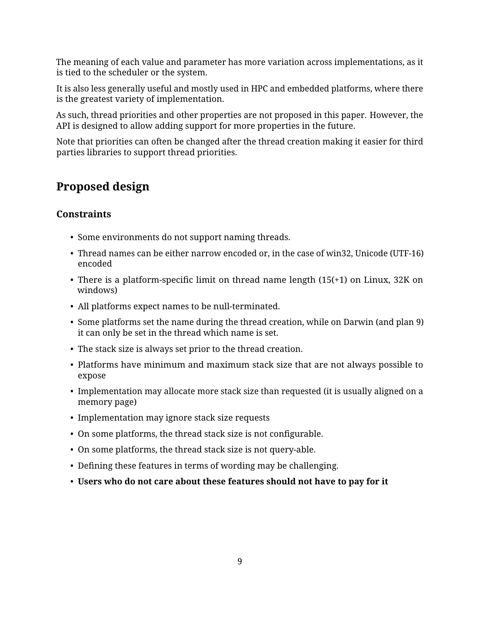The meaning of each value and parameter has more variation across implementations, as it is tied to the scheduler or the system.

It is also less generally useful and mostly used in HPC and embedded platforms, where there is the greatest variety of implementation.

As such, thread priorities and other properties are not proposed in this paper. However, the API is designed to allow adding support for more properties in the future.

Note that priorities can often be changed after the thread creation making it easier for third parties libraries to support thread priorities.

# **Proposed design**

### **Constraints**

- Some environments do not support naming threads.
- Thread names can be either narrow encoded or, in the case of win32, Unicode (UTF-16) encoded
- There is a platform-specific limit on thread name length (15(+1) on Linux, 32K on windows)
- All platforms expect names to be null-terminated.
- Some platforms set the name during the thread creation, while on Darwin (and plan 9) it can only be set in the thread which name is set.
- The stack size is always set prior to the thread creation.
- Platforms have minimum and maximum stack size that are not always possible to expose
- Implementation may allocate more stack size than requested (it is usually aligned on a memory page)
- Implementation may ignore stack size requests
- On some platforms, the thread stack size is not configurable.
- On some platforms, the thread stack size is not query-able.
- Defining these features in terms of wording may be challenging.
- **Users who do not care about these features should not have to pay for it**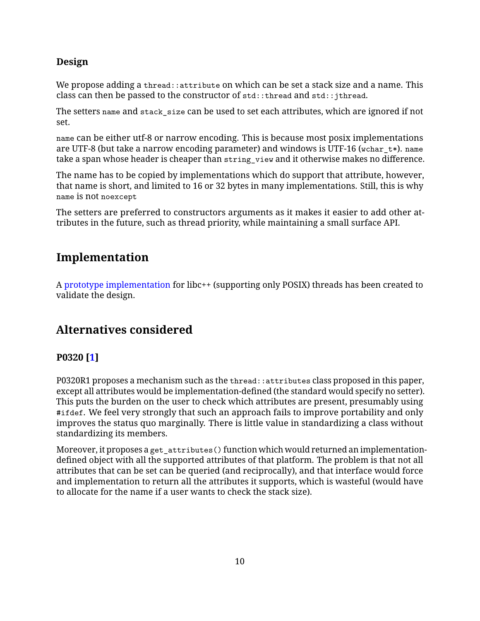### **Design**

We propose adding a thread::attribute on which can be set a stack size and a name. This class can then be passed to the constructor of std::thread and std::jthread.

The setters name and stack\_size can be used to set each attributes, which are ignored if not set.

name can be either utf-8 or narrow encoding. This is because most posix implementations are UTF-8 (but take a narrow encoding parameter) and windows is UTF-16 (wchar  $t*$ ). name take a span whose header is cheaper than string\_view and it otherwise makes no difference.

The name has to be copied by implementations which do support that attribute, however, that name is short, and limited to 16 or 32 bytes in many implementations. Still, this is why name is not noexcept

The setters are preferred to constructors arguments as it makes it easier to add other attributes in the future, such as thread priority, while maintaining a small surface API.

# **Implementation**

A [prototype implementation](https://github.com/cor3ntin/llvm-project/tree/thread_name) for libc++ (supporting only POSIX) threads has been created to validate the design.

# **Alternatives considered**

## **P0320 [\[1\]](#page-14-3)**

P0320R1 proposes a mechanism such as the thread::attributes class proposed in this paper, except all attributes would be implementation-defined (the standard would specify no setter). This puts the burden on the user to check which attributes are present, presumably using #ifdef. We feel very strongly that such an approach fails to improve portability and only improves the status quo marginally. There is little value in standardizing a class without standardizing its members.

Moreover, it proposes a get\_attributes() function which would returned an implementationdefined object with all the supported attributes of that platform. The problem is that not all attributes that can be set can be queried (and reciprocally), and that interface would force and implementation to return all the attributes it supports, which is wasteful (would have to allocate for the name if a user wants to check the stack size).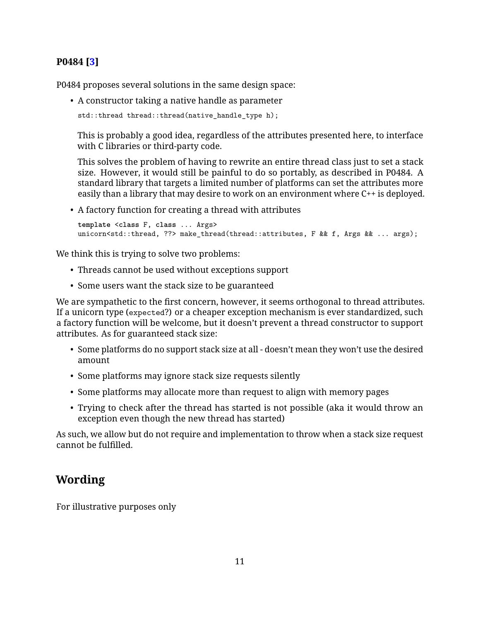### **P0484 [\[3\]](#page-14-4)**

P0484 proposes several solutions in the same design space:

• A constructor taking a native handle as parameter

```
std::thread thread::thread(native_handle_type h);
```
This is probably a good idea, regardless of the attributes presented here, to interface with C libraries or third-party code.

This solves the problem of having to rewrite an entire thread class just to set a stack size. However, it would still be painful to do so portably, as described in P0484. A standard library that targets a limited number of platforms can set the attributes more easily than a library that may desire to work on an environment where C++ is deployed.

• A factory function for creating a thread with attributes

```
template <class F, class ... Args>
unicorn<std::thread, ??> make thread(thread::attributes, F && f, Args && ... args);
```
We think this is trying to solve two problems:

- Threads cannot be used without exceptions support
- Some users want the stack size to be guaranteed

We are sympathetic to the first concern, however, it seems orthogonal to thread attributes. If a unicorn type (expected?) or a cheaper exception mechanism is ever standardized, such a factory function will be welcome, but it doesn't prevent a thread constructor to support attributes. As for guaranteed stack size:

- Some platforms do no support stack size at all doesn't mean they won't use the desired amount
- Some platforms may ignore stack size requests silently
- Some platforms may allocate more than request to align with memory pages
- Trying to check after the thread has started is not possible (aka it would throw an exception even though the new thread has started)

As such, we allow but do not require and implementation to throw when a stack size request cannot be fulfilled.

# **Wording**

For illustrative purposes only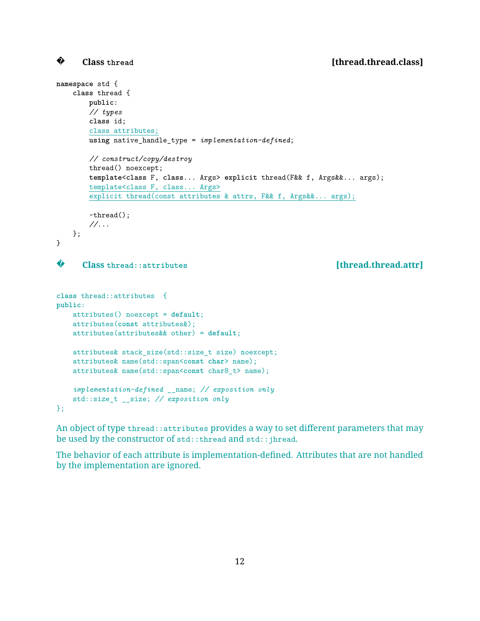#### **Class thread [thread.thread.class]**

```
?
```

```
namespace std {
   class thread {
       public:
       // types
       class id;
       class attributes;
       using native_handle_type = implementation-defined;
       // construct/copy/destroy
       thread() noexcept;
       template<class F, class... Args> explicit thread(F&& f, Args&&... args);
       template<class F, class... Args>
       explicit thread(const attributes & attrs, F&& f, Args&&... args);
       ~thread();
       //...
   };
}
?
      Class thread::attributes [thread.thread.attr]
class thread::attributes {
public:
   attributes() noexcept = default;
   attributes(const attributes&);
   attributes(attributes&& other) = default;
   attributes& stack_size(std::size_t size) noexcept;
   attributes& name(std::span<const char> name);
   attributes& name(std::span<const char8_t> name);
   implementation-defined __name; // exposition only
```
An object of type thread::attributes provides a way to set different parameters that may be used by the constructor of std::thread and std::jhread.

std::size\_t \_\_size; *// exposition only*

};

The behavior of each attribute is implementation-defined. Attributes that are not handled by the implementation are ignored.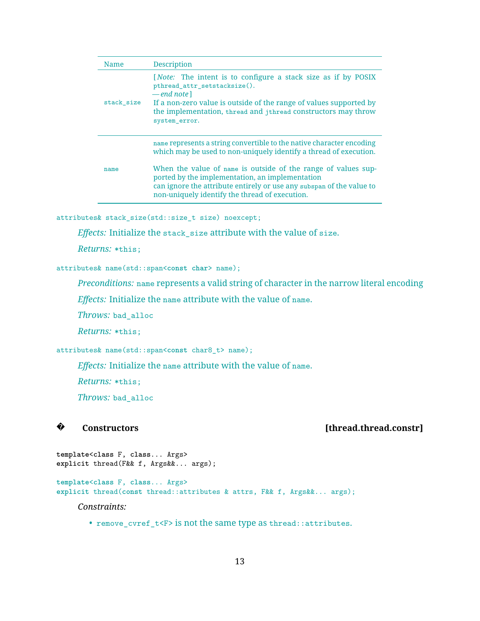| Name       | <b>Description</b>                                                                                                                                                                                                                                                                                                                                                                       |  |
|------------|------------------------------------------------------------------------------------------------------------------------------------------------------------------------------------------------------------------------------------------------------------------------------------------------------------------------------------------------------------------------------------------|--|
| stack size | <i>[Note:</i> The intent is to configure a stack size as if by POSIX<br>pthread_attr_setstacksize().<br>$-\text{end note}$<br>If a non-zero value is outside of the range of values supported by<br>the implementation, thread and jthread constructors may throw<br>system_error.                                                                                                       |  |
| name       | name represents a string convertible to the native character encoding<br>which may be used to non-uniquely identify a thread of execution.<br>When the value of name is outside of the range of values sup-<br>ported by the implementation, an implementation<br>can ignore the attribute entirely or use any subspan of the value to<br>non-uniquely identify the thread of execution. |  |

attributes& stack\_size(std::size\_t size) noexcept;

*Effects:* Initialize the stack\_size attribute with the value of size.

*Returns:* \*this;

attributes& name(std::span<**const char**> name);

*Preconditions:* name represents a valid string of character in the narrow literal encoding

*Effects:* Initialize the name attribute with the value of name.

*Throws:* bad\_alloc

*Returns:* \*this;

attributes& name(std::span<**const** char8\_t> name);

*Effects:* Initialize the name attribute with the value of name.

*Returns:* \*this;

*Throws:* bad\_alloc

#### **?**

#### **Constructors [thread.thread.constr]**

**template**<**class** F, **class**... Args> **explicit** thread(F&& f, Args&&... args);

**template**<**class** F, **class**... Args> **explicit** thread(**const** thread::attributes & attrs, F&& f, Args&&... args);

*Constraints:*

• remove\_cvref\_t<F> is not the same type as thread::attributes.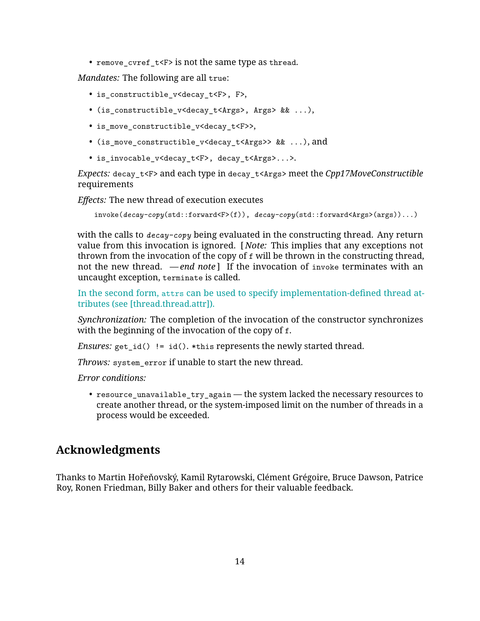• remove\_cvref\_t<F> is not the same type as thread.

*Mandates:* The following are all true:

- is\_constructible\_v<decay\_t<F>, F>,
- (is\_constructible\_v<decay\_t<Args>, Args> && ...),
- is move constructible v<decay t<F>>,
- (is\_move\_constructible\_v<decay\_t<Args>> && ...), and
- is\_invocable\_v<decay\_t<F>, decay\_t<Args>...>.

*Expects:* decay\_t<F> and each type in decay\_t<Args> meet the *Cpp17MoveConstructible* requirements

*Effects:* The new thread of execution executes

invoke(*decay-copy*(std::forward<F>(f)), *decay-copy*(std::forward<Args>(args))...)

with the calls to *decay-copy* being evaluated in the constructing thread. Any return value from this invocation is ignored. [ *Note:* This implies that any exceptions not thrown from the invocation of the copy of f will be thrown in the constructing thread, not the new thread. *— end note* ] If the invocation of invoke terminates with an uncaught exception, terminate is called.

In the second form, attrs can be used to specify implementation-defined thread attributes (see [thread.thread.attr]).

*Synchronization:* The completion of the invocation of the constructor synchronizes with the beginning of the invocation of the copy of f.

*Ensures:*  $get_id() != id(). * this represents the newly started thread.$ 

*Throws:* system\_error if unable to start the new thread.

*Error conditions:*

• resource\_unavailable\_try\_again — the system lacked the necessary resources to create another thread, or the system-imposed limit on the number of threads in a process would be exceeded.

## **Acknowledgments**

Thanks to Martin Hořeňovský, Kamil Rytarowski, Clément Grégoire, Bruce Dawson, Patrice Roy, Ronen Friedman, Billy Baker and others for their valuable feedback.